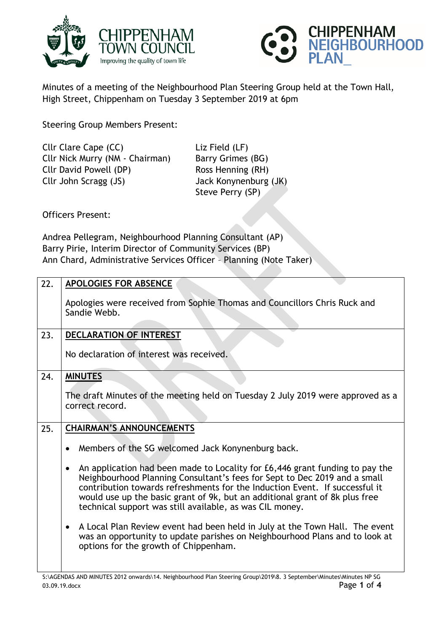



Minutes of a meeting of the Neighbourhood Plan Steering Group held at the Town Hall, High Street, Chippenham on Tuesday 3 September 2019 at 6pm

Steering Group Members Present:

Cllr Clare Cape (CC) Liz Field (LF) Cllr Nick Murry (NM - Chairman) Barry Grimes (BG) Cllr David Powell (DP) Ross Henning (RH) Cllr John Scragg (JS) Jack Konynenburg (JK)

Steve Perry (SP)

Officers Present:

Andrea Pellegram, Neighbourhood Planning Consultant (AP) Barry Pirie, Interim Director of Community Services (BP) Ann Chard, Administrative Services Officer – Planning (Note Taker)

| 22. | <b>APOLOGIES FOR ABSENCE</b>                                                                                                                                                                                                                                                                                                                                                                     |
|-----|--------------------------------------------------------------------------------------------------------------------------------------------------------------------------------------------------------------------------------------------------------------------------------------------------------------------------------------------------------------------------------------------------|
|     | Apologies were received from Sophie Thomas and Councillors Chris Ruck and<br>Sandie Webb.                                                                                                                                                                                                                                                                                                        |
| 23. | DECLARATION OF INTEREST                                                                                                                                                                                                                                                                                                                                                                          |
|     | No declaration of interest was received.                                                                                                                                                                                                                                                                                                                                                         |
| 24. | <b>MINUTES</b>                                                                                                                                                                                                                                                                                                                                                                                   |
|     | The draft Minutes of the meeting held on Tuesday 2 July 2019 were approved as a<br>correct record.                                                                                                                                                                                                                                                                                               |
| 25. | <b>CHAIRMAN'S ANNOUNCEMENTS</b>                                                                                                                                                                                                                                                                                                                                                                  |
|     | Members of the SG welcomed Jack Konynenburg back.                                                                                                                                                                                                                                                                                                                                                |
|     | An application had been made to Locality for £6,446 grant funding to pay the<br>$\bullet$<br>Neighbourhood Planning Consultant's fees for Sept to Dec 2019 and a small<br>contribution towards refreshments for the Induction Event. If successful it<br>would use up the basic grant of 9k, but an additional grant of 8k plus free<br>technical support was still available, as was CIL money. |
|     | A Local Plan Review event had been held in July at the Town Hall. The event<br>$\bullet$<br>was an opportunity to update parishes on Neighbourhood Plans and to look at<br>options for the growth of Chippenham.                                                                                                                                                                                 |
|     |                                                                                                                                                                                                                                                                                                                                                                                                  |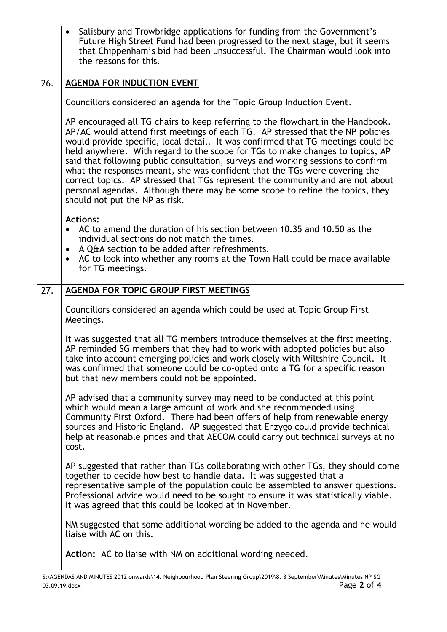|     | Salisbury and Trowbridge applications for funding from the Government's<br>$\bullet$<br>Future High Street Fund had been progressed to the next stage, but it seems<br>that Chippenham's bid had been unsuccessful. The Chairman would look into<br>the reasons for this.                                                                                                                                                                                                                                                                                                                                                                                                                                     |
|-----|---------------------------------------------------------------------------------------------------------------------------------------------------------------------------------------------------------------------------------------------------------------------------------------------------------------------------------------------------------------------------------------------------------------------------------------------------------------------------------------------------------------------------------------------------------------------------------------------------------------------------------------------------------------------------------------------------------------|
| 26. | <b>AGENDA FOR INDUCTION EVENT</b>                                                                                                                                                                                                                                                                                                                                                                                                                                                                                                                                                                                                                                                                             |
|     | Councillors considered an agenda for the Topic Group Induction Event.                                                                                                                                                                                                                                                                                                                                                                                                                                                                                                                                                                                                                                         |
|     | AP encouraged all TG chairs to keep referring to the flowchart in the Handbook.<br>AP/AC would attend first meetings of each TG. AP stressed that the NP policies<br>would provide specific, local detail. It was confirmed that TG meetings could be<br>held anywhere. With regard to the scope for TGs to make changes to topics, AP<br>said that following public consultation, surveys and working sessions to confirm<br>what the responses meant, she was confident that the TGs were covering the<br>correct topics. AP stressed that TGs represent the community and are not about<br>personal agendas. Although there may be some scope to refine the topics, they<br>should not put the NP as risk. |
|     | <b>Actions:</b><br>AC to amend the duration of his section between 10.35 and 10.50 as the<br>individual sections do not match the times.<br>A Q&A section to be added after refreshments.<br>$\bullet$<br>AC to look into whether any rooms at the Town Hall could be made available<br>$\bullet$<br>for TG meetings.                                                                                                                                                                                                                                                                                                                                                                                         |
| 27. | AGENDA FOR TOPIC GROUP FIRST MEETINGS                                                                                                                                                                                                                                                                                                                                                                                                                                                                                                                                                                                                                                                                         |
|     | Councillors considered an agenda which could be used at Topic Group First<br>Meetings.                                                                                                                                                                                                                                                                                                                                                                                                                                                                                                                                                                                                                        |
|     | It was suggested that all TG members introduce themselves at the first meeting.<br>AP reminded SG members that they had to work with adopted policies but also<br>take into account emerging policies and work closely with Wiltshire Council. It<br>was confirmed that someone could be co-opted onto a TG for a specific reason<br>but that new members could not be appointed.                                                                                                                                                                                                                                                                                                                             |
|     | AP advised that a community survey may need to be conducted at this point<br>which would mean a large amount of work and she recommended using<br>Community First Oxford. There had been offers of help from renewable energy<br>sources and Historic England. AP suggested that Enzygo could provide technical<br>help at reasonable prices and that AECOM could carry out technical surveys at no<br>cost.                                                                                                                                                                                                                                                                                                  |
|     | AP suggested that rather than TGs collaborating with other TGs, they should come<br>together to decide how best to handle data. It was suggested that a<br>representative sample of the population could be assembled to answer questions.<br>Professional advice would need to be sought to ensure it was statistically viable.<br>It was agreed that this could be looked at in November.                                                                                                                                                                                                                                                                                                                   |
|     | NM suggested that some additional wording be added to the agenda and he would<br>liaise with AC on this.                                                                                                                                                                                                                                                                                                                                                                                                                                                                                                                                                                                                      |
|     | <b>Action:</b> AC to liaise with NM on additional wording needed.                                                                                                                                                                                                                                                                                                                                                                                                                                                                                                                                                                                                                                             |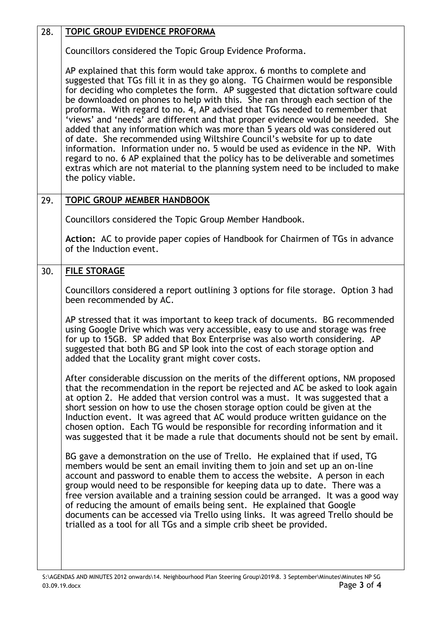| 28. | TOPIC GROUP EVIDENCE PROFORMA                                                                                                                                                                                                                                                                                                                                                                                                                                                                                                                                                                                                                                                                                                                                                                                                                                                                                                                    |
|-----|--------------------------------------------------------------------------------------------------------------------------------------------------------------------------------------------------------------------------------------------------------------------------------------------------------------------------------------------------------------------------------------------------------------------------------------------------------------------------------------------------------------------------------------------------------------------------------------------------------------------------------------------------------------------------------------------------------------------------------------------------------------------------------------------------------------------------------------------------------------------------------------------------------------------------------------------------|
|     | Councillors considered the Topic Group Evidence Proforma.                                                                                                                                                                                                                                                                                                                                                                                                                                                                                                                                                                                                                                                                                                                                                                                                                                                                                        |
|     | AP explained that this form would take approx. 6 months to complete and<br>suggested that TGs fill it in as they go along. TG Chairmen would be responsible<br>for deciding who completes the form. AP suggested that dictation software could<br>be downloaded on phones to help with this. She ran through each section of the<br>proforma. With regard to no. 4, AP advised that TGs needed to remember that<br>'views' and 'needs' are different and that proper evidence would be needed. She<br>added that any information which was more than 5 years old was considered out<br>of date. She recommended using Wiltshire Council's website for up to date<br>information. Information under no. 5 would be used as evidence in the NP. With<br>regard to no. 6 AP explained that the policy has to be deliverable and sometimes<br>extras which are not material to the planning system need to be included to make<br>the policy viable. |
| 29. | <b>TOPIC GROUP MEMBER HANDBOOK</b>                                                                                                                                                                                                                                                                                                                                                                                                                                                                                                                                                                                                                                                                                                                                                                                                                                                                                                               |
|     | Councillors considered the Topic Group Member Handbook.                                                                                                                                                                                                                                                                                                                                                                                                                                                                                                                                                                                                                                                                                                                                                                                                                                                                                          |
|     | Action: AC to provide paper copies of Handbook for Chairmen of TGs in advance<br>of the Induction event.                                                                                                                                                                                                                                                                                                                                                                                                                                                                                                                                                                                                                                                                                                                                                                                                                                         |
| 30. | <b>FILE STORAGE</b>                                                                                                                                                                                                                                                                                                                                                                                                                                                                                                                                                                                                                                                                                                                                                                                                                                                                                                                              |
|     | Councillors considered a report outlining 3 options for file storage. Option 3 had<br>been recommended by AC.                                                                                                                                                                                                                                                                                                                                                                                                                                                                                                                                                                                                                                                                                                                                                                                                                                    |
|     | AP stressed that it was important to keep track of documents. BG recommended<br>using Google Drive which was very accessible, easy to use and storage was free<br>for up to 15GB. SP added that Box Enterprise was also worth considering. AP<br>suggested that both BG and SP look into the cost of each storage option and<br>added that the Locality grant might cover costs.                                                                                                                                                                                                                                                                                                                                                                                                                                                                                                                                                                 |
|     | After considerable discussion on the merits of the different options, NM proposed<br>that the recommendation in the report be rejected and AC be asked to look again<br>at option 2. He added that version control was a must. It was suggested that a<br>short session on how to use the chosen storage option could be given at the<br>Induction event. It was agreed that AC would produce written guidance on the<br>chosen option. Each TG would be responsible for recording information and it<br>was suggested that it be made a rule that documents should not be sent by email.                                                                                                                                                                                                                                                                                                                                                        |
|     | BG gave a demonstration on the use of Trello. He explained that if used, TG<br>members would be sent an email inviting them to join and set up an on-line<br>account and password to enable them to access the website. A person in each<br>group would need to be responsible for keeping data up to date. There was a<br>free version available and a training session could be arranged. It was a good way<br>of reducing the amount of emails being sent. He explained that Google<br>documents can be accessed via Trello using links. It was agreed Trello should be<br>trialled as a tool for all TGs and a simple crib sheet be provided.                                                                                                                                                                                                                                                                                                |
|     |                                                                                                                                                                                                                                                                                                                                                                                                                                                                                                                                                                                                                                                                                                                                                                                                                                                                                                                                                  |